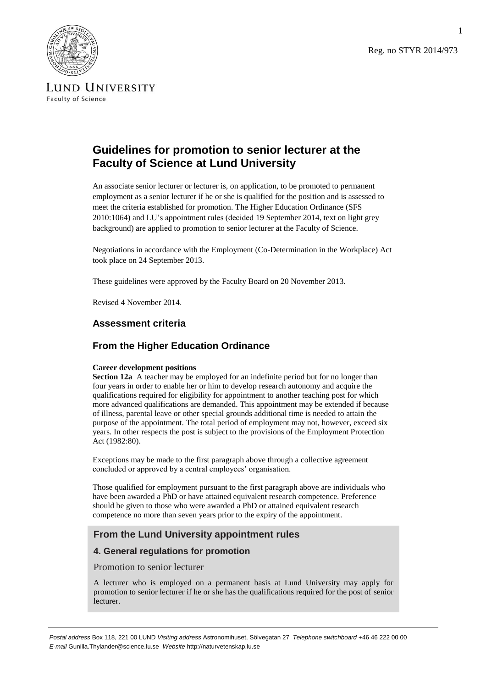Reg. no STYR 2014/973



LUND UNIVERSITY Faculty of Science

# **Guidelines for promotion to senior lecturer at the Faculty of Science at Lund University**

An associate senior lecturer or lecturer is, on application, to be promoted to permanent employment as a senior lecturer if he or she is qualified for the position and is assessed to meet the criteria established for promotion. The Higher Education Ordinance (SFS 2010:1064) and LU's appointment rules (decided 19 September 2014, text on light grey background) are applied to promotion to senior lecturer at the Faculty of Science.

Negotiations in accordance with the Employment (Co-Determination in the Workplace) Act took place on 24 September 2013.

These guidelines were approved by the Faculty Board on 20 November 2013.

Revised 4 November 2014.

# **Assessment criteria**

# **From the Higher Education Ordinance**

#### **Career development positions**

**Section 12a** A teacher may be employed for an indefinite period but for no longer than four years in order to enable her or him to develop research autonomy and acquire the qualifications required for eligibility for appointment to another teaching post for which more advanced qualifications are demanded. This appointment may be extended if because of illness, parental leave or other special grounds additional time is needed to attain the purpose of the appointment. The total period of employment may not, however, exceed six years. In other respects the post is subject to the provisions of the Employment Protection Act (1982:80).

Exceptions may be made to the first paragraph above through a collective agreement concluded or approved by a central employees' organisation.

Those qualified for employment pursuant to the first paragraph above are individuals who have been awarded a PhD or have attained equivalent research competence. Preference should be given to those who were awarded a PhD or attained equivalent research competence no more than seven years prior to the expiry of the appointment.

# **From the Lund University appointment rules**

### **4. General regulations for promotion**

Promotion to senior lecturer

A lecturer who is employed on a permanent basis at Lund University may apply for promotion to senior lecturer if he or she has the qualifications required for the post of senior lecturer.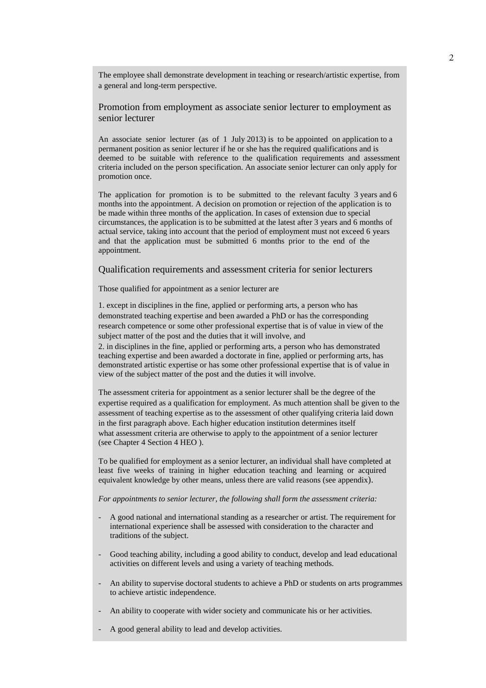The employee shall demonstrate development in teaching or research/artistic expertise, from a general and long-term perspective.

Promotion from employment as associate senior lecturer to employment as senior lecturer

An associate senior lecturer (as of 1 July 2013) is to be appointed on application to a permanent position as senior lecturer if he or she has the required qualifications and is deemed to be suitable with reference to the qualification requirements and assessment criteria included on the person specification. An associate senior lecturer can only apply for promotion once.

The application for promotion is to be submitted to the relevant faculty 3 years and 6 months into the appointment. A decision on promotion or rejection of the application is to be made within three months of the application. In cases of extension due to special circumstances, the application is to be submitted at the latest after 3 years and 6 months of actual service, taking into account that the period of employment must not exceed 6 years and that the application must be submitted 6 months prior to the end of the appointment.

Qualification requirements and assessment criteria for senior lecturers

Those qualified for appointment as a senior lecturer are

1. except in disciplines in the fine, applied or performing arts, a person who has demonstrated teaching expertise and been awarded a PhD or has the corresponding research competence or some other professional expertise that is of value in view of the subject matter of the post and the duties that it will involve, and 2. in disciplines in the fine, applied or performing arts, a person who has demonstrated teaching expertise and been awarded a doctorate in fine, applied or performing arts, has demonstrated artistic expertise or has some other professional expertise that is of value in view of the subject matter of the post and the duties it will involve.

The assessment criteria for appointment as a senior lecturer shall be the degree of the expertise required as a qualification for employment. As much attention shall be given to the assessment of teaching expertise as to the assessment of other qualifying criteria laid down in the first paragraph above. Each higher education institution determines itself what assessment criteria are otherwise to apply to the appointment of a senior lecturer (see Chapter 4 Section 4 HEO ).

To be qualified for employment as a senior lecturer, an individual shall have completed at least five weeks of training in higher education teaching and learning or acquired equivalent knowledge by other means, unless there are valid reasons (see appendix).

*For appointments to senior lecturer, the following shall form the assessment criteria:*

- A good national and international standing as a researcher or artist. The requirement for international experience shall be assessed with consideration to the character and traditions of the subject.
- Good teaching ability, including a good ability to conduct, develop and lead educational activities on different levels and using a variety of teaching methods.
- An ability to supervise doctoral students to achieve a PhD or students on arts programmes to achieve artistic independence.
- An ability to cooperate with wider society and communicate his or her activities.
- A good general ability to lead and develop activities.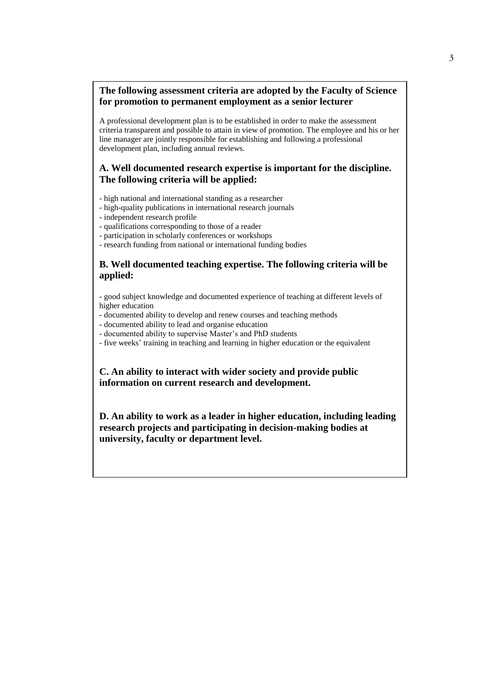# **The following assessment criteria are adopted by the Faculty of Science for promotion to permanent employment as a senior lecturer**

A professional development plan is to be established in order to make the assessment criteria transparent and possible to attain in view of promotion. The employee and his or her line manager are jointly responsible for establishing and following a professional development plan, including annual reviews.

# **A. Well documented research expertise is important for the discipline. The following criteria will be applied:**

- high national and international standing as a researcher
- high-quality publications in international research journals
- independent research profile
- qualifications corresponding to those of a reader
- participation in scholarly conferences or workshops
- research funding from national or international funding bodies

# **B. Well documented teaching expertise. The following criteria will be applied:**

- good subject knowledge and documented experience of teaching at different levels of higher education

- documented ability to develop and renew courses and teaching methods
- documented ability to lead and organise education
- documented ability to supervise Master's and PhD students
- five weeks' training in teaching and learning in higher education or the equivalent

**C. An ability to interact with wider society and provide public information on current research and development.**

**D. An ability to work as a leader in higher education, including leading research projects and participating in decision-making bodies at university, faculty or department level.**